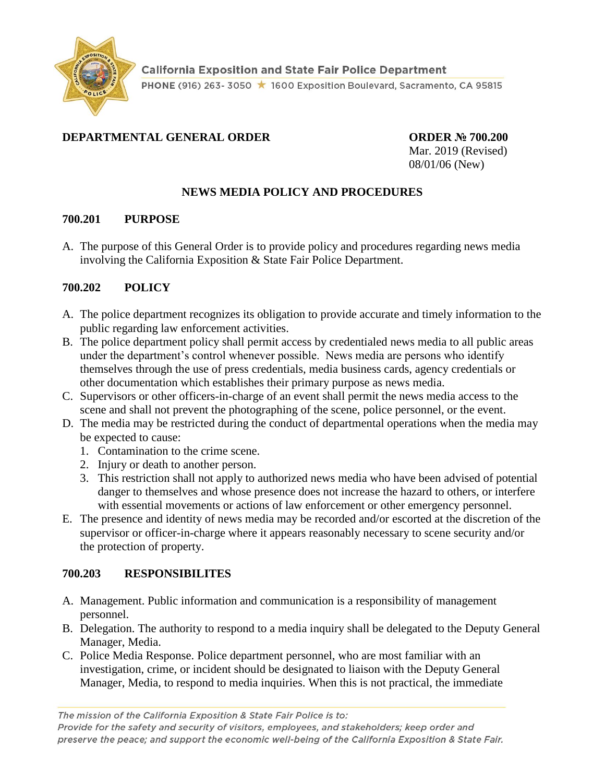

### **DEPARTMENTAL GENERAL ORDER ORDER № 700.200**

Mar. 2019 (Revised) 08/01/06 (New)

## **NEWS MEDIA POLICY AND PROCEDURES**

#### **700.201 PURPOSE**

A. The purpose of this General Order is to provide policy and procedures regarding news media involving the California Exposition & State Fair Police Department.

### **700.202 POLICY**

- A. The police department recognizes its obligation to provide accurate and timely information to the public regarding law enforcement activities.
- B. The police department policy shall permit access by credentialed news media to all public areas under the department's control whenever possible. News media are persons who identify themselves through the use of press credentials, media business cards, agency credentials or other documentation which establishes their primary purpose as news media.
- C. Supervisors or other officers-in-charge of an event shall permit the news media access to the scene and shall not prevent the photographing of the scene, police personnel, or the event.
- D. The media may be restricted during the conduct of departmental operations when the media may be expected to cause:
	- 1. Contamination to the crime scene.
	- 2. Injury or death to another person.
	- 3. This restriction shall not apply to authorized news media who have been advised of potential danger to themselves and whose presence does not increase the hazard to others, or interfere with essential movements or actions of law enforcement or other emergency personnel.
- E. The presence and identity of news media may be recorded and/or escorted at the discretion of the supervisor or officer-in-charge where it appears reasonably necessary to scene security and/or the protection of property.

### **700.203 RESPONSIBILITES**

- A. Management. Public information and communication is a responsibility of management personnel.
- B. Delegation. The authority to respond to a media inquiry shall be delegated to the Deputy General Manager, Media.
- C. Police Media Response. Police department personnel, who are most familiar with an investigation, crime, or incident should be designated to liaison with the Deputy General Manager, Media, to respond to media inquiries. When this is not practical, the immediate